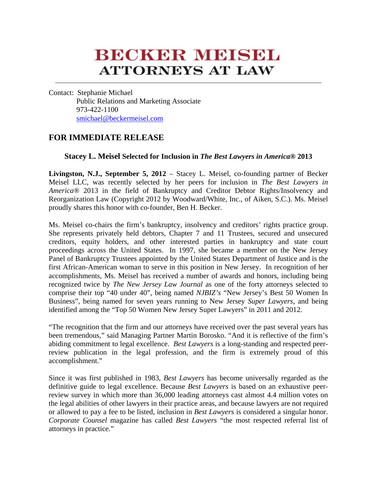## **BECKER MEISEL ATTORNEYS AT LAW**

Contact: Stephanie Michael Public Relations and Marketing Associate 973-422-1100 smichael@beckermeisel.com

## **FOR IMMEDIATE RELEASE**

## **Stacey L. Meisel Selected for Inclusion in** *The Best Lawyers in America***® 2013**

**Livingston, N.J., September 5, 2012** – Stacey L. Meisel, co-founding partner of Becker Meisel LLC, was recently selected by her peers for inclusion in *The Best Lawyers in America*® 2013 in the field of Bankruptcy and Creditor Debtor Rights/Insolvency and Reorganization Law (Copyright 2012 by Woodward/White, Inc., of Aiken, S.C.). Ms. Meisel proudly shares this honor with co-founder, Ben H. Becker.

Ms. Meisel co-chairs the firm's bankruptcy, insolvency and creditors' rights practice group. She represents privately held debtors, Chapter 7 and 11 Trustees, secured and unsecured creditors, equity holders, and other interested parties in bankruptcy and state court proceedings across the United States. In 1997, she became a member on the New Jersey Panel of Bankruptcy Trustees appointed by the United States Department of Justice and is the first African-American woman to serve in this position in New Jersey. In recognition of her accomplishments, Ms. Meisel has received a number of awards and honors, including being recognized twice by *The New Jersey Law Journal* as one of the forty attorneys selected to comprise their top "40 under 40", being named *NJBIZ's* "New Jersey's Best 50 Women In Business", being named for seven years running to New Jersey *Super Lawyers*, and being identified among the "Top 50 Women New Jersey Super Lawyers" in 2011 and 2012.

"The recognition that the firm and our attorneys have received over the past several years has been tremendous," said Managing Partner Martin Borosko. "And it is reflective of the firm's abiding commitment to legal excellence. *Best Lawyers* is a long-standing and respected peerreview publication in the legal profession, and the firm is extremely proud of this accomplishment."

Since it was first published in 1983, *Best Lawyers* has become universally regarded as the definitive guide to legal excellence. Because *Best Lawyers* is based on an exhaustive peerreview survey in which more than 36,000 leading attorneys cast almost 4.4 million votes on the legal abilities of other lawyers in their practice areas, and because lawyers are not required or allowed to pay a fee to be listed, inclusion in *Best Lawyers* is considered a singular honor. *Corporate Counsel* magazine has called *Best Lawyers* "the most respected referral list of attorneys in practice."